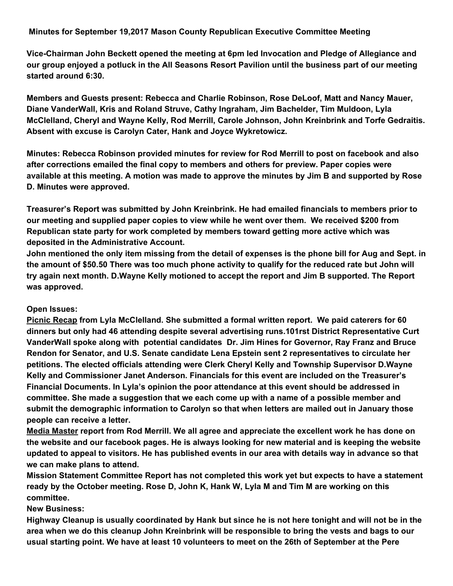**Minutes for September 19,2017 Mason County Republican Executive Committee Meeting**

**Vice-Chairman John Beckett opened the meeting at 6pm led Invocation and Pledge of Allegiance and** our group enjoyed a potluck in the All Seasons Resort Pavilion until the business part of our meeting **started around 6:30.**

**Members and Guests present: Rebecca and Charlie Robinson, Rose DeLoof, Matt and Nancy Mauer, Diane VanderWall, Kris and Roland Struve, Cathy Ingraham, Jim Bachelder, Tim Muldoon, Lyla McClelland, Cheryl and Wayne Kelly, Rod Merrill, Carole Johnson, John Kreinbrink and Torfe Gedraitis. Absent with excuse is Carolyn Cater, Hank and Joyce Wykretowicz.**

**Minutes: Rebecca Robinson provided minutes for review for Rod Merrill to post on facebook and also after corrections emailed the final copy to members and others for preview. Paper copies were** available at this meeting. A motion was made to approve the minutes by Jim B and supported by Rose **D. Minutes were approved.**

**Treasurer's Report was submitted by John Kreinbrink. He had emailed financials to members prior to our meeting and supplied paper copies to view while he went over them. We received \$200 from Republican state party for work completed by members toward getting more active which was deposited in the Administrative Account.**

John mentioned the only item missing from the detail of expenses is the phone bill for Aug and Sept. in the amount of \$50.50 There was too much phone activity to qualify for the reduced rate but John will **try again next month. D.Wayne Kelly motioned to accept the report and Jim B supported. The Report was approved.**

## **Open Issues:**

**Picnic Recap from Lyla McClelland. She submitted a formal written report. We paid caterers for 60 dinners but only had 46 attending despite several advertising runs.101rst District Representative Curt VanderWall spoke along with potential candidates Dr. Jim Hines for Governor, Ray Franz and Bruce Rendon for Senator, and U.S. Senate candidate Lena Epstein sent 2 representatives to circulate her petitions. The elected officials attending were Clerk Cheryl Kelly and Township Supervisor D.Wayne Kelly and Commissioner Janet Anderson. Financials for this event are included on the Treasurer's Financial Documents. In Lyla's opinion the poor attendance at this event should be addressed in committee. She made a suggestion that we each come up with a name of a possible member and submit the demographic information to Carolyn so that when letters are mailed out in January those people can receive a letter.**

Media Master report from Rod Merrill. We all agree and appreciate the excellent work he has done on the website and our facebook pages. He is always looking for new material and is keeping the website updated to appeal to visitors. He has published events in our area with details way in advance so that **we can make plans to attend.**

**Mission Statement Committee Report has not completed this work yet but expects to have a statement** ready by the October meeting. Rose D, John K, Hank W, Lyla M and Tim M are working on this **committee.**

**New Business:**

Highway Cleanup is usually coordinated by Hank but since he is not here tonight and will not be in the area when we do this cleanup John Kreinbrink will be responsible to bring the vests and bags to our usual starting point. We have at least 10 volunteers to meet on the 26th of September at the Pere